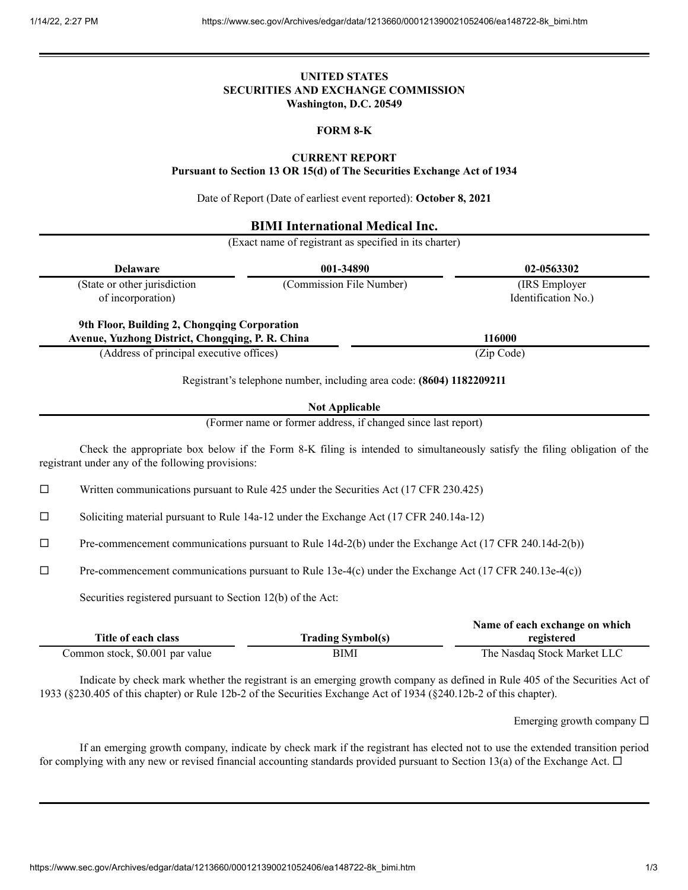### **UNITED STATES SECURITIES AND EXCHANGE COMMISSION Washington, D.C. 20549**

### **FORM 8-K**

#### **CURRENT REPORT**

**Pursuant to Section 13 OR 15(d) of The Securities Exchange Act of 1934**

Date of Report (Date of earliest event reported): **October 8, 2021**

### **BIMI International Medical Inc.**

(Exact name of registrant as specified in its charter)

| <b>Delaware</b>                                                                                  | 001-34890                | 02-0563302          |
|--------------------------------------------------------------------------------------------------|--------------------------|---------------------|
| (State or other jurisdiction                                                                     | (Commission File Number) | (IRS Employer)      |
| of incorporation)                                                                                |                          | Identification No.) |
|                                                                                                  |                          |                     |
| 9th Floor, Building 2, Chongqing Corporation<br>Avenue, Yuzhong District, Chongqing, P. R. China |                          | 116000              |

Registrant's telephone number, including area code: **(8604) 1182209211**

**Not Applicable**

(Former name or former address, if changed since last report)

Check the appropriate box below if the Form 8-K filing is intended to simultaneously satisfy the filing obligation of the registrant under any of the following provisions:

 $\Box$  Written communications pursuant to Rule 425 under the Securities Act (17 CFR 230.425)

 $\square$  Soliciting material pursuant to Rule 14a-12 under the Exchange Act (17 CFR 240.14a-12)

 $\Box$  Pre-commencement communications pursuant to Rule 14d-2(b) under the Exchange Act (17 CFR 240.14d-2(b))

 $\Box$  Pre-commencement communications pursuant to Rule 13e-4(c) under the Exchange Act (17 CFR 240.13e-4(c))

Securities registered pursuant to Section 12(b) of the Act:

|                                 |                          | Name of each exchange on which |  |
|---------------------------------|--------------------------|--------------------------------|--|
| Title of each class             | <b>Trading Symbol(s)</b> | registered                     |  |
| Common stock, \$0.001 par value | BIMI                     | The Nasdaq Stock Market LLC    |  |

Indicate by check mark whether the registrant is an emerging growth company as defined in Rule 405 of the Securities Act of 1933 (§230.405 of this chapter) or Rule 12b-2 of the Securities Exchange Act of 1934 (§240.12b-2 of this chapter).

Emerging growth company  $\square$ 

If an emerging growth company, indicate by check mark if the registrant has elected not to use the extended transition period for complying with any new or revised financial accounting standards provided pursuant to Section 13(a) of the Exchange Act.  $\Box$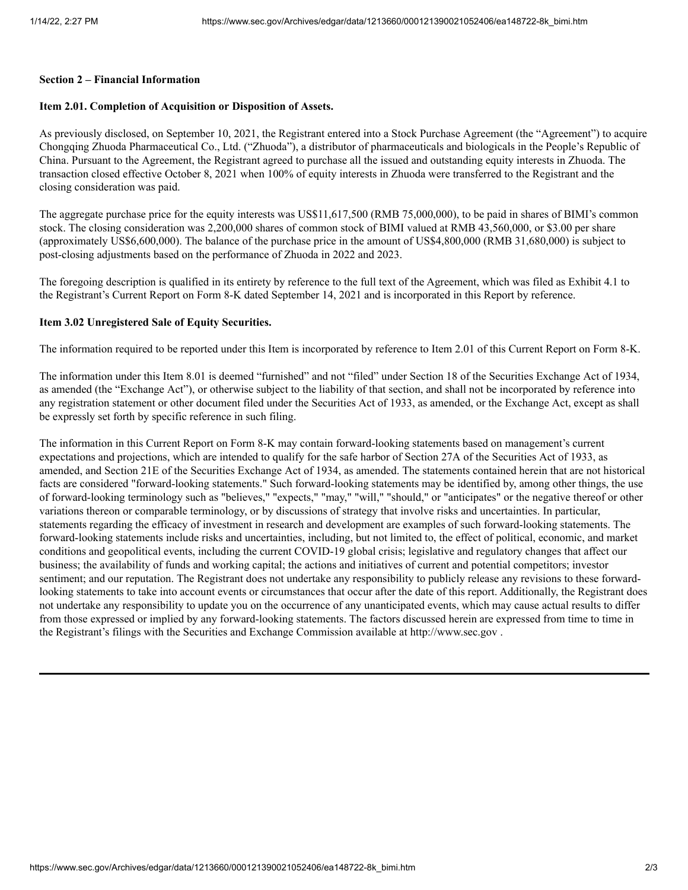#### **Section 2 – Financial Information**

# **Item 2.01. Completion of Acquisition or Disposition of Assets.**

As previously disclosed, on September 10, 2021, the Registrant entered into a Stock Purchase Agreement (the "Agreement") to acquire Chongqing Zhuoda Pharmaceutical Co., Ltd. ("Zhuoda"), a distributor of pharmaceuticals and biologicals in the People's Republic of China. Pursuant to the Agreement, the Registrant agreed to purchase all the issued and outstanding equity interests in Zhuoda. The transaction closed effective October 8, 2021 when 100% of equity interests in Zhuoda were transferred to the Registrant and the closing consideration was paid.

The aggregate purchase price for the equity interests was US\$11,617,500 (RMB 75,000,000), to be paid in shares of BIMI's common stock. The closing consideration was 2,200,000 shares of common stock of BIMI valued at RMB 43,560,000, or \$3.00 per share (approximately US\$6,600,000). The balance of the purchase price in the amount of US\$4,800,000 (RMB 31,680,000) is subject to post-closing adjustments based on the performance of Zhuoda in 2022 and 2023.

The foregoing description is qualified in its entirety by reference to the full text of the Agreement, which was filed as Exhibit 4.1 to the Registrant's Current Report on Form 8-K dated September 14, 2021 and is incorporated in this Report by reference.

# **Item 3.02 Unregistered Sale of Equity Securities.**

The information required to be reported under this Item is incorporated by reference to Item 2.01 of this Current Report on Form 8-K.

The information under this Item 8.01 is deemed "furnished" and not "filed" under Section 18 of the Securities Exchange Act of 1934, as amended (the "Exchange Act"), or otherwise subject to the liability of that section, and shall not be incorporated by reference into any registration statement or other document filed under the Securities Act of 1933, as amended, or the Exchange Act, except as shall be expressly set forth by specific reference in such filing.

The information in this Current Report on Form 8-K may contain forward-looking statements based on management's current expectations and projections, which are intended to qualify for the safe harbor of Section 27A of the Securities Act of 1933, as amended, and Section 21E of the Securities Exchange Act of 1934, as amended. The statements contained herein that are not historical facts are considered "forward-looking statements." Such forward-looking statements may be identified by, among other things, the use of forward-looking terminology such as "believes," "expects," "may," "will," "should," or "anticipates" or the negative thereof or other variations thereon or comparable terminology, or by discussions of strategy that involve risks and uncertainties. In particular, statements regarding the efficacy of investment in research and development are examples of such forward-looking statements. The forward-looking statements include risks and uncertainties, including, but not limited to, the effect of political, economic, and market conditions and geopolitical events, including the current COVID-19 global crisis; legislative and regulatory changes that affect our business; the availability of funds and working capital; the actions and initiatives of current and potential competitors; investor sentiment; and our reputation. The Registrant does not undertake any responsibility to publicly release any revisions to these forwardlooking statements to take into account events or circumstances that occur after the date of this report. Additionally, the Registrant does not undertake any responsibility to update you on the occurrence of any unanticipated events, which may cause actual results to differ from those expressed or implied by any forward-looking statements. The factors discussed herein are expressed from time to time in the Registrant's filings with the Securities and Exchange Commission available at http://www.sec.gov .